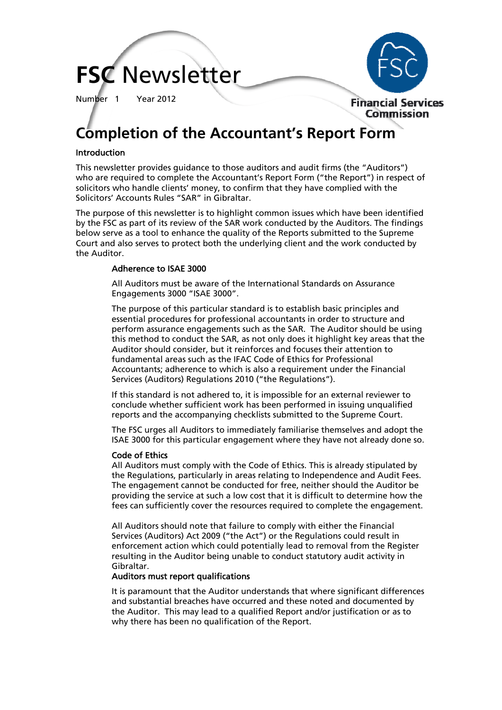# **FSC** Newsletter

Number 1 Year 2012



# **Completion of the Accountant's Report Form**

### Introduction

This newsletter provides guidance to those auditors and audit firms (the "Auditors") who are required to complete the Accountant's Report Form ("the Report") in respect of solicitors who handle clients' money, to confirm that they have complied with the Solicitors' Accounts Rules "SAR" in Gibraltar.

The purpose of this newsletter is to highlight common issues which have been identified by the FSC as part of its review of the SAR work conducted by the Auditors. The findings below serve as a tool to enhance the quality of the Reports submitted to the Supreme Court and also serves to protect both the underlying client and the work conducted by the Auditor.

#### Adherence to ISAE 3000

All Auditors must be aware of the International Standards on Assurance Engagements 3000 "ISAE 3000".

The purpose of this particular standard is to establish basic principles and essential procedures for professional accountants in order to structure and perform assurance engagements such as the SAR. The Auditor should be using this method to conduct the SAR, as not only does it highlight key areas that the Auditor should consider, but it reinforces and focuses their attention to fundamental areas such as the IFAC Code of Ethics for Professional Accountants; adherence to which is also a requirement under the Financial Services (Auditors) Regulations 2010 ("the Regulations").

If this standard is not adhered to, it is impossible for an external reviewer to conclude whether sufficient work has been performed in issuing unqualified reports and the accompanying checklists submitted to the Supreme Court.

The FSC urges all Auditors to immediately familiarise themselves and adopt the ISAE 3000 for this particular engagement where they have not already done so.

#### Code of Ethics

All Auditors must comply with the Code of Ethics. This is already stipulated by the Regulations, particularly in areas relating to Independence and Audit Fees. The engagement cannot be conducted for free, neither should the Auditor be providing the service at such a low cost that it is difficult to determine how the fees can sufficiently cover the resources required to complete the engagement.

All Auditors should note that failure to comply with either the Financial Services (Auditors) Act 2009 ("the Act") or the Regulations could result in enforcement action which could potentially lead to removal from the Register resulting in the Auditor being unable to conduct statutory audit activity in Gibraltar.

#### Auditors must report qualifications

It is paramount that the Auditor understands that where significant differences and substantial breaches have occurred and these noted and documented by the Auditor. This may lead to a qualified Report and/or justification or as to why there has been no qualification of the Report.